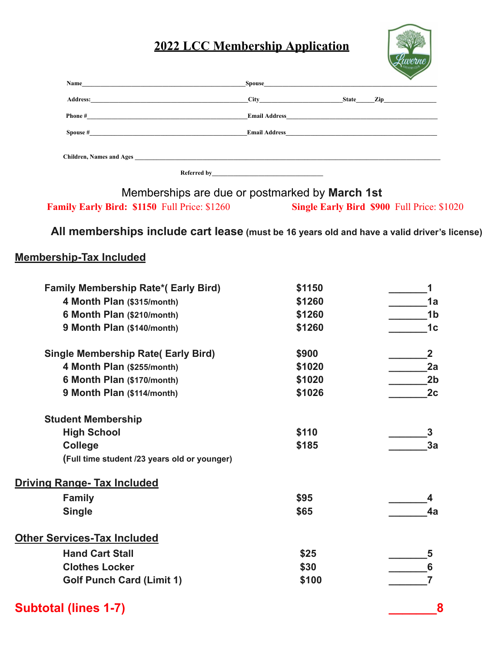## **2022 LCC Membership Application**



| Name<br><u> 1989 - Andrea Andrew Maria (h. 1989).</u>                                                                              |             |              | $\checkmark$                                                                                                                                                                                                                   |
|------------------------------------------------------------------------------------------------------------------------------------|-------------|--------------|--------------------------------------------------------------------------------------------------------------------------------------------------------------------------------------------------------------------------------|
| <b>Address:</b><br>the contract of the contract of the contract of the contract of the contract of the contract of the contract of |             | <b>State</b> | Zip and the same state of the state of the state of the state of the state of the state of the state of the state of the state of the state of the state of the state of the state of the state of the state of the state of t |
|                                                                                                                                    |             |              |                                                                                                                                                                                                                                |
| $\mathbf{S}\mathbf{pouse}$ #                                                                                                       |             |              |                                                                                                                                                                                                                                |
| Children, Names and Ages <b>Exercísies Children</b> , Names and Ages                                                               |             |              |                                                                                                                                                                                                                                |
|                                                                                                                                    | Referred by |              |                                                                                                                                                                                                                                |

Memberships are due or postmarked by **March 1st Family Early Bird: \$1150** Full Price: \$1260 **Single Early Bird \$900** Full Price: \$1020

**All memberships include cart lease (must be 16 years old and have a valid driver's license)**

## **Membership-Tax Included**

| <b>Family Membership Rate*(Early Bird)</b>   | \$1150 |                         |
|----------------------------------------------|--------|-------------------------|
| 4 Month Plan (\$315/month)                   | \$1260 | 1a                      |
| 6 Month Plan (\$210/month)                   | \$1260 | 1 <sub>b</sub>          |
| 9 Month Plan (\$140/month)                   | \$1260 | 1 <sub>c</sub>          |
| <b>Single Membership Rate( Early Bird)</b>   | \$900  | $\overline{\mathbf{2}}$ |
| 4 Month Plan (\$255/month)                   | \$1020 | 2a                      |
| 6 Month Plan (\$170/month)                   | \$1020 | 2 <sub>b</sub>          |
| 9 Month Plan (\$114/month)                   | \$1026 | 2c                      |
| <b>Student Membership</b>                    |        |                         |
| <b>High School</b>                           | \$110  | 3                       |
| College                                      | \$185  | 3a                      |
| (Full time student /23 years old or younger) |        |                         |
| <b>Driving Range- Tax Included</b>           |        |                         |
| <b>Family</b>                                | \$95   |                         |
| <b>Single</b>                                | \$65   | 4a                      |
| <b>Other Services-Tax Included</b>           |        |                         |
| <b>Hand Cart Stall</b>                       | \$25   | 5                       |
| <b>Clothes Locker</b>                        | \$30   | 6                       |
| <b>Golf Punch Card (Limit 1)</b>             | \$100  |                         |
|                                              |        |                         |

## **Subtotal (lines 1-7) \_\_\_\_\_\_\_8**